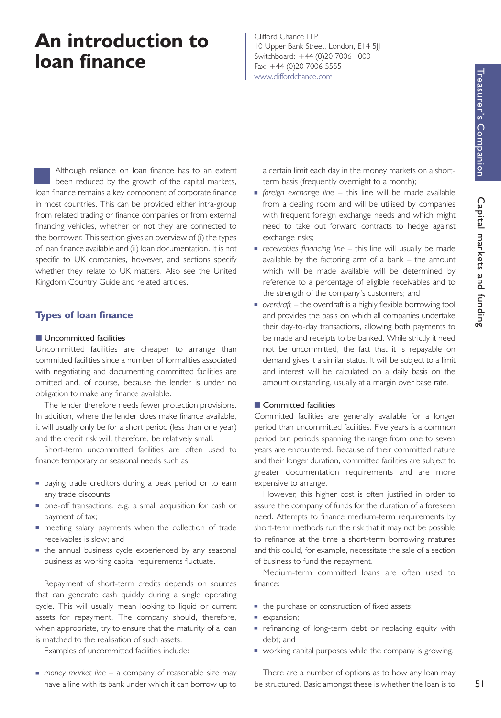# **An introduction to loan finance**

Clifford Chance LLP 10 Upper Bank Street, London, E14 5|| Switchboard: +44 (0)20 7006 1000 Fax: +44 (0)20 7006 5555 www.cliffordchance.com

Although reliance on loan finance has to an extent been reduced by the growth of the capital markets, loan finance remains a key component of corporate finance in most countries. This can be provided either intra-group from related trading or finance companies or from external financing vehicles, whether or not they are connected to the borrower. This section gives an overview of (i) the types of loan finance available and (ii) loan documentation. It is not specific to UK companies, however, and sections specify whether they relate to UK matters. Also see the United Kingdom Country Guide and related articles.

## **Types of loan finance**

### **Uncommitted facilities**

Uncommitted facilities are cheaper to arrange than committed facilities since a number of formalities associated with negotiating and documenting committed facilities are omitted and, of course, because the lender is under no obligation to make any finance available.

The lender therefore needs fewer protection provisions. In addition, where the lender does make finance available, it will usually only be for a short period (less than one year) and the credit risk will, therefore, be relatively small.

Short-term uncommitted facilities are often used to finance temporary or seasonal needs such as:

- **paying trade creditors during a peak period or to earn** any trade discounts;
- one-off transactions, e.g. a small acquisition for cash or payment of tax;
- **E** meeting salary payments when the collection of trade receivables is slow; and
- the annual business cycle experienced by any seasonal business as working capital requirements fluctuate.

Repayment of short-term credits depends on sources that can generate cash quickly during a single operating cycle. This will usually mean looking to liquid or current assets for repayment. The company should, therefore, when appropriate, try to ensure that the maturity of a loan is matched to the realisation of such assets.

Examples of uncommitted facilities include:

■ *money market line* – a company of reasonable size may have a line with its bank under which it can borrow up to a certain limit each day in the money markets on a shortterm basis (frequently overnight to a month);

- *foreign exchange line* this line will be made available from a dealing room and will be utilised by companies with frequent foreign exchange needs and which might need to take out forward contracts to hedge against exchange risks;
- **•** *receivables financing line* this line will usually be made available by the factoring arm of a bank – the amount which will be made available will be determined by reference to a percentage of eligible receivables and to the strength of the company's customers; and
- *overdraft* the overdraft is a highly flexible borrowing tool and provides the basis on which all companies undertake their day-to-day transactions, allowing both payments to be made and receipts to be banked. While strictly it need not be uncommitted, the fact that it is repayable on demand gives it a similar status. It will be subject to a limit and interest will be calculated on a daily basis on the amount outstanding, usually at a margin over base rate.

### ■ Committed facilities

Committed facilities are generally available for a longer period than uncommitted facilities. Five years is a common period but periods spanning the range from one to seven years are encountered. Because of their committed nature and their longer duration, committed facilities are subject to greater documentation requirements and are more expensive to arrange.

However, this higher cost is often justified in order to assure the company of funds for the duration of a foreseen need. Attempts to finance medium-term requirements by short-term methods run the risk that it may not be possible to refinance at the time a short-term borrowing matures and this could, for example, necessitate the sale of a section of business to fund the repayment.

Medium-term committed loans are often used to finance:

- the purchase or construction of fixed assets;
- **expansion;**
- **E** refinancing of long-term debt or replacing equity with debt; and
- working capital purposes while the company is growing.

There are a number of options as to how any loan may be structured. Basic amongst these is whether the loan is to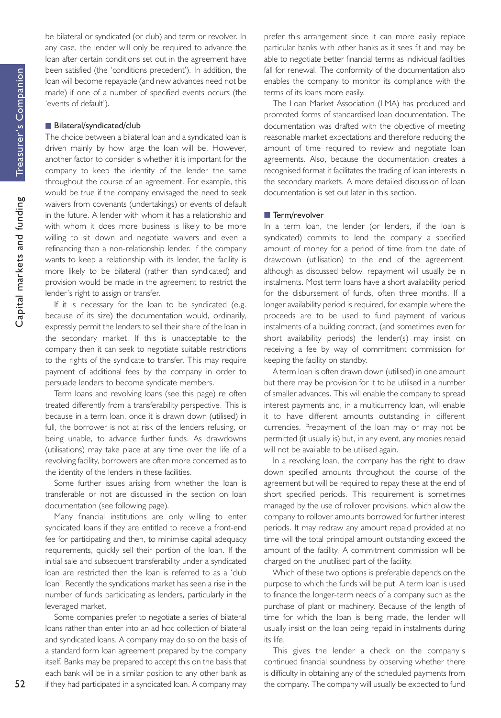52 Sompanion Capital markets and funding Treasurer's Companion Capital markets and funding be bilateral or syndicated (or club) and term or revolver. In any case, the lender will only be required to advance the loan after certain conditions set out in the agreement have been satisfied (the 'conditions precedent'). In addition, the loan will become repayable (and new advances need not be made) if one of a number of specified events occurs (the 'events of default').

## Bilateral/syndicated/club

The choice between a bilateral loan and a syndicated loan is driven mainly by how large the loan will be. However, another factor to consider is whether it is important for the company to keep the identity of the lender the same throughout the course of an agreement. For example, this would be true if the company envisaged the need to seek waivers from covenants (undertakings) or events of default in the future. A lender with whom it has a relationship and with whom it does more business is likely to be more willing to sit down and negotiate waivers and even a refinancing than a non-relationship lender. If the company wants to keep a relationship with its lender, the facility is more likely to be bilateral (rather than syndicated) and provision would be made in the agreement to restrict the lender's right to assign or transfer.

If it is necessary for the loan to be syndicated (e.g. because of its size) the documentation would, ordinarily, expressly permit the lenders to sell their share of the loan in the secondary market. If this is unacceptable to the company then it can seek to negotiate suitable restrictions to the rights of the syndicate to transfer. This may require payment of additional fees by the company in order to persuade lenders to become syndicate members.

Term loans and revolving loans (see this page) re often treated differently from a transferability perspective. This is because in a term loan, once it is drawn down (utilised) in full, the borrower is not at risk of the lenders refusing, or being unable, to advance further funds. As drawdowns (utilisations) may take place at any time over the life of a revolving facility, borrowers are often more concerned as to the identity of the lenders in these facilities.

Some further issues arising from whether the loan is transferable or not are discussed in the section on loan documentation (see following page).

Many financial institutions are only willing to enter syndicated loans if they are entitled to receive a front-end fee for participating and then, to minimise capital adequacy requirements, quickly sell their portion of the loan. If the initial sale and subsequent transferability under a syndicated loan are restricted then the loan is referred to as a 'club loan'. Recently the syndications market has seen a rise in the number of funds participating as lenders, particularly in the leveraged market.

Some companies prefer to negotiate a series of bilateral loans rather than enter into an ad hoc collection of bilateral and syndicated loans. A company may do so on the basis of a standard form loan agreement prepared by the company itself. Banks may be prepared to accept this on the basis that each bank will be in a similar position to any other bank as if they had participated in a syndicated loan. A company may prefer this arrangement since it can more easily replace particular banks with other banks as it sees fit and may be able to negotiate better financial terms as individual facilities fall for renewal. The conformity of the documentation also enables the company to monitor its compliance with the terms of its loans more easily.

The Loan Market Association (LMA) has produced and promoted forms of standardised loan documentation. The documentation was drafted with the objective of meeting reasonable market expectations and therefore reducing the amount of time required to review and negotiate loan agreements. Also, because the documentation creates a recognised format it facilitates the trading of loan interests in the secondary markets. A more detailed discussion of loan documentation is set out later in this section.

## **Term/revolver**

In a term loan, the lender (or lenders, if the loan is syndicated) commits to lend the company a specified amount of money for a period of time from the date of drawdown (utilisation) to the end of the agreement, although as discussed below, repayment will usually be in instalments. Most term loans have a short availability period for the disbursement of funds, often three months. If a longer availability period is required, for example where the proceeds are to be used to fund payment of various instalments of a building contract, (and sometimes even for short availability periods) the lender(s) may insist on receiving a fee by way of commitment commission for keeping the facility on standby.

A term loan is often drawn down (utilised) in one amount but there may be provision for it to be utilised in a number of smaller advances. This will enable the company to spread interest payments and, in a multicurrency loan, will enable it to have different amounts outstanding in different currencies. Prepayment of the loan may or may not be permitted (it usually is) but, in any event, any monies repaid will not be available to be utilised again.

In a revolving loan, the company has the right to draw down specified amounts throughout the course of the agreement but will be required to repay these at the end of short specified periods. This requirement is sometimes managed by the use of rollover provisions, which allow the company to rollover amounts borrowed for further interest periods. It may redraw any amount repaid provided at no time will the total principal amount outstanding exceed the amount of the facility. A commitment commission will be charged on the unutilised part of the facility.

Which of these two options is preferable depends on the purpose to which the funds will be put. A term loan is used to finance the longer-term needs of a company such as the purchase of plant or machinery. Because of the length of time for which the loan is being made, the lender will usually insist on the loan being repaid in instalments during its life.

This gives the lender a check on the company's continued financial soundness by observing whether there is difficulty in obtaining any of the scheduled payments from the company. The company will usually be expected to fund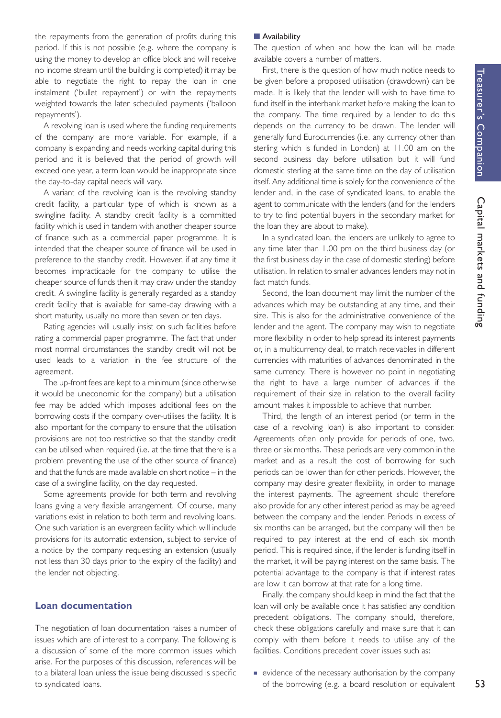the repayments from the generation of profits during this period. If this is not possible (e.g. where the company is using the money to develop an office block and will receive no income stream until the building is completed) it may be able to negotiate the right to repay the loan in one instalment ('bullet repayment') or with the repayments weighted towards the later scheduled payments ('balloon repayments').

A revolving loan is used where the funding requirements of the company are more variable. For example, if a company is expanding and needs working capital during this period and it is believed that the period of growth will exceed one year, a term loan would be inappropriate since the day-to-day capital needs will vary.

A variant of the revolving loan is the revolving standby credit facility, a particular type of which is known as a swingline facility. A standby credit facility is a committed facility which is used in tandem with another cheaper source of finance such as a commercial paper programme. It is intended that the cheaper source of finance will be used in preference to the standby credit. However, if at any time it becomes impracticable for the company to utilise the cheaper source of funds then it may draw under the standby credit. A swingline facility is generally regarded as a standby credit facility that is available for same-day drawing with a short maturity, usually no more than seven or ten days.

Rating agencies will usually insist on such facilities before rating a commercial paper programme. The fact that under most normal circumstances the standby credit will not be used leads to a variation in the fee structure of the agreement.

The up-front fees are kept to a minimum (since otherwise it would be uneconomic for the company) but a utilisation fee may be added which imposes additional fees on the borrowing costs if the company over-utilises the facility. It is also important for the company to ensure that the utilisation provisions are not too restrictive so that the standby credit can be utilised when required (i.e. at the time that there is a problem preventing the use of the other source of finance) and that the funds are made available on short notice – in the case of a swingline facility, on the day requested.

Some agreements provide for both term and revolving loans giving a very flexible arrangement. Of course, many variations exist in relation to both term and revolving loans. One such variation is an evergreen facility which will include provisions for its automatic extension, subject to service of a notice by the company requesting an extension (usually not less than 30 days prior to the expiry of the facility) and the lender not objecting.

#### **Loan documentation**

The negotiation of loan documentation raises a number of issues which are of interest to a company. The following is a discussion of some of the more common issues which arise. For the purposes of this discussion, references will be to a bilateral loan unless the issue being discussed is specific to syndicated loans.

### **Availability**

The question of when and how the loan will be made available covers a number of matters.

First, there is the question of how much notice needs to be given before a proposed utilisation (drawdown) can be made. It is likely that the lender will wish to have time to fund itself in the interbank market before making the loan to the company. The time required by a lender to do this depends on the currency to be drawn. The lender will generally fund Eurocurrencies (i.e. any currency other than sterling which is funded in London) at 11.00 am on the second business day before utilisation but it will fund domestic sterling at the same time on the day of utilisation itself. Any additional time is solely for the convenience of the lender and, in the case of syndicated loans, to enable the agent to communicate with the lenders (and for the lenders to try to find potential buyers in the secondary market for the loan they are about to make).

In a syndicated loan, the lenders are unlikely to agree to any time later than 1.00 pm on the third business day (or the first business day in the case of domestic sterling) before utilisation. In relation to smaller advances lenders may not in fact match funds.

Second, the loan document may limit the number of the advances which may be outstanding at any time, and their size. This is also for the administrative convenience of the lender and the agent. The company may wish to negotiate more flexibility in order to help spread its interest payments or, in a multicurrency deal, to match receivables in different currencies with maturities of advances denominated in the same currency. There is however no point in negotiating the right to have a large number of advances if the requirement of their size in relation to the overall facility amount makes it impossible to achieve that number.

Third, the length of an interest period (or term in the case of a revolving loan) is also important to consider. Agreements often only provide for periods of one, two, three or six months. These periods are very common in the market and as a result the cost of borrowing for such periods can be lower than for other periods. However, the company may desire greater flexibility, in order to manage the interest payments. The agreement should therefore also provide for any other interest period as may be agreed between the company and the lender. Periods in excess of six months can be arranged, but the company will then be required to pay interest at the end of each six month period. This is required since, if the lender is funding itself in the market, it will be paying interest on the same basis. The potential advantage to the company is that if interest rates are low it can borrow at that rate for a long time.

Finally, the company should keep in mind the fact that the loan will only be available once it has satisfied any condition precedent obligations. The company should, therefore, check these obligations carefully and make sure that it can comply with them before it needs to utilise any of the facilities. Conditions precedent cover issues such as:

**•** evidence of the necessary authorisation by the company of the borrowing (e.g. a board resolution or equivalent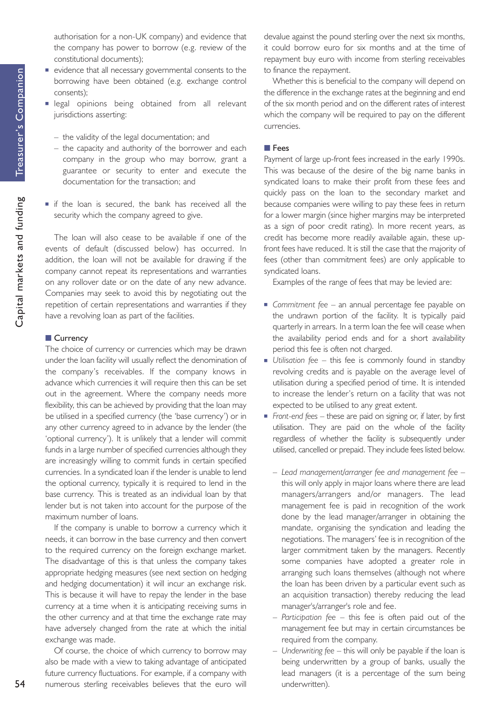Capital markets and funding

authorisation for a non-UK company) and evidence that the company has power to borrow (e.g. review of the constitutional documents);

- evidence that all necessary governmental consents to the borrowing have been obtained (e.g. exchange control consents);
- **E** legal opinions being obtained from all relevant jurisdictions asserting:
	- the validity of the legal documentation; and
	- the capacity and authority of the borrower and each company in the group who may borrow, grant a guarantee or security to enter and execute the documentation for the transaction; and
- **E** if the loan is secured, the bank has received all the security which the company agreed to give.

The loan will also cease to be available if one of the events of default (discussed below) has occurred. In addition, the loan will not be available for drawing if the company cannot repeat its representations and warranties on any rollover date or on the date of any new advance. Companies may seek to avoid this by negotiating out the repetition of certain representations and warranties if they have a revolving loan as part of the facilities.

## **Currency**

The choice of currency or currencies which may be drawn under the loan facility will usually reflect the denomination of the company's receivables. If the company knows in advance which currencies it will require then this can be set out in the agreement. Where the company needs more flexibility, this can be achieved by providing that the loan may be utilised in a specified currency (the 'base currency') or in any other currency agreed to in advance by the lender (the 'optional currency'). It is unlikely that a lender will commit funds in a large number of specified currencies although they are increasingly willing to commit funds in certain specified currencies. In a syndicated loan if the lender is unable to lend the optional currency, typically it is required to lend in the base currency. This is treated as an individual loan by that lender but is not taken into account for the purpose of the maximum number of loans.

If the company is unable to borrow a currency which it needs, it can borrow in the base currency and then convert to the required currency on the foreign exchange market. The disadvantage of this is that unless the company takes appropriate hedging measures (see next section on hedging and hedging documentation) it will incur an exchange risk. This is because it will have to repay the lender in the base currency at a time when it is anticipating receiving sums in the other currency and at that time the exchange rate may have adversely changed from the rate at which the initial exchange was made.

Of course, the choice of which currency to borrow may also be made with a view to taking advantage of anticipated future currency fluctuations. For example, if a company with numerous sterling receivables believes that the euro will devalue against the pound sterling over the next six months, it could borrow euro for six months and at the time of repayment buy euro with income from sterling receivables to finance the repayment.

Whether this is beneficial to the company will depend on the difference in the exchange rates at the beginning and end of the six month period and on the different rates of interest which the company will be required to pay on the different currencies.

## ■ Fees

Payment of large up-front fees increased in the early 1990s. This was because of the desire of the big name banks in syndicated loans to make their profit from these fees and quickly pass on the loan to the secondary market and because companies were willing to pay these fees in return for a lower margin (since higher margins may be interpreted as a sign of poor credit rating). In more recent years, as credit has become more readily available again, these upfront fees have reduced. It is still the case that the majority of fees (other than commitment fees) are only applicable to syndicated loans.

Examples of the range of fees that may be levied are:

- **E** Commitment fee an annual percentage fee payable on the undrawn portion of the facility. It is typically paid quarterly in arrears. In a term loan the fee will cease when the availability period ends and for a short availability period this fee is often not charged.
- **•** *Utilisation fee* this fee is commonly found in standby revolving credits and is payable on the average level of utilisation during a specified period of time. It is intended to increase the lender's return on a facility that was not expected to be utilised to any great extent.
- *Front-end fees* these are paid on signing or, if later, by first utilisation. They are paid on the whole of the facility regardless of whether the facility is subsequently under utilised, cancelled or prepaid. They include fees listed below.
	- *Lead management/arranger fee and management fee* this will only apply in major loans where there are lead managers/arrangers and/or managers. The lead management fee is paid in recognition of the work done by the lead manager/arranger in obtaining the mandate, organising the syndication and leading the negotiations. The managers' fee is in recognition of the larger commitment taken by the managers. Recently some companies have adopted a greater role in arranging such loans themselves (although not where the loan has been driven by a particular event such as an acquisition transaction) thereby reducing the lead manager's/arranger's role and fee.
	- *Participation fee* this fee is often paid out of the management fee but may in certain circumstances be required from the company.
	- *Underwriting fee* this will only be payable if the loan is being underwritten by a group of banks, usually the lead managers (it is a percentage of the sum being underwritten).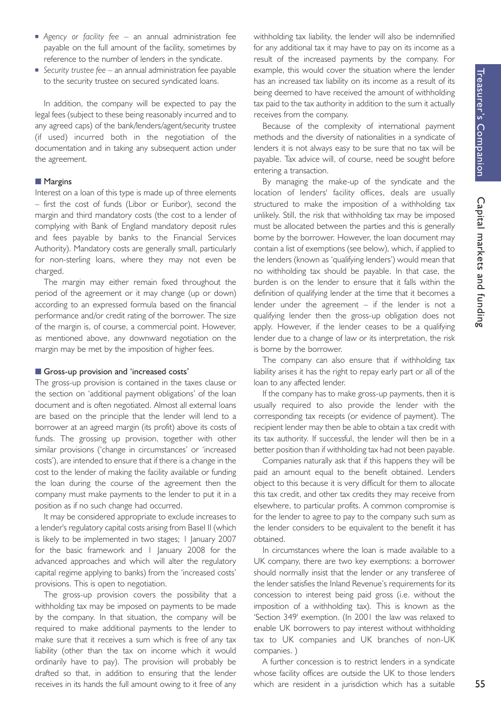- *Agency or facility fee* an annual administration fee payable on the full amount of the facility, sometimes by reference to the number of lenders in the syndicate.
- *Security trustee fee* an annual administration fee payable to the security trustee on secured syndicated loans.

In addition, the company will be expected to pay the legal fees (subject to these being reasonably incurred and to any agreed caps) of the bank/lenders/agent/security trustee (if used) incurred both in the negotiation of the documentation and in taking any subsequent action under the agreement.

### ■ Margins

Interest on a loan of this type is made up of three elements – first the cost of funds (Libor or Euribor), second the margin and third mandatory costs (the cost to a lender of complying with Bank of England mandatory deposit rules and fees payable by banks to the Financial Services Authority). Mandatory costs are generally small, particularly for non-sterling loans, where they may not even be charged.

The margin may either remain fixed throughout the period of the agreement or it may change (up or down) according to an expressed formula based on the financial performance and/or credit rating of the borrower. The size of the margin is, of course, a commercial point. However, as mentioned above, any downward negotiation on the margin may be met by the imposition of higher fees.

### **Gross-up provision and 'increased costs'**

The gross-up provision is contained in the taxes clause or the section on 'additional payment obligations' of the loan document and is often negotiated. Almost all external loans are based on the principle that the lender will lend to a borrower at an agreed margin (its profit) above its costs of funds. The grossing up provision, together with other similar provisions ('change in circumstances' or 'increased costs'), are intended to ensure that if there is a change in the cost to the lender of making the facility available or funding the loan during the course of the agreement then the company must make payments to the lender to put it in a position as if no such change had occurred.

It may be considered appropriate to exclude increases to a lender's regulatory capital costs arising from Basel II (which is likely to be implemented in two stages; 1 January 2007 for the basic framework and 1 January 2008 for the advanced approaches and which will alter the regulatory capital regime applying to banks) from the 'increased costs' provisions. This is open to negotiation.

The gross-up provision covers the possibility that a withholding tax may be imposed on payments to be made by the company. In that situation, the company will be required to make additional payments to the lender to make sure that it receives a sum which is free of any tax liability (other than the tax on income which it would ordinarily have to pay). The provision will probably be drafted so that, in addition to ensuring that the lender receives in its hands the full amount owing to it free of any withholding tax liability, the lender will also be indemnified for any additional tax it may have to pay on its income as a result of the increased payments by the company. For example, this would cover the situation where the lender has an increased tax liability on its income as a result of its being deemed to have received the amount of withholding tax paid to the tax authority in addition to the sum it actually receives from the company.

Because of the complexity of international payment methods and the diversity of nationalities in a syndicate of lenders it is not always easy to be sure that no tax will be payable. Tax advice will, of course, need be sought before entering a transaction.

By managing the make-up of the syndicate and the location of lenders' facility offices, deals are usually structured to make the imposition of a withholding tax unlikely. Still, the risk that withholding tax may be imposed must be allocated between the parties and this is generally borne by the borrower. However, the loan document may contain a list of exemptions (see below), which, if applied to the lenders (known as 'qualifying lenders') would mean that no withholding tax should be payable. In that case, the burden is on the lender to ensure that it falls within the definition of qualifying lender at the time that it becomes a lender under the agreement  $-$  if the lender is not a qualifying lender then the gross-up obligation does not apply. However, if the lender ceases to be a qualifying lender due to a change of law or its interpretation, the risk is borne by the borrower.

The company can also ensure that if withholding tax liability arises it has the right to repay early part or all of the loan to any affected lender.

If the company has to make gross-up payments, then it is usually required to also provide the lender with the corresponding tax receipts (or evidence of payment). The recipient lender may then be able to obtain a tax credit with its tax authority. If successful, the lender will then be in a better position than if withholding tax had not been payable.

Companies naturally ask that if this happens they will be paid an amount equal to the benefit obtained. Lenders object to this because it is very difficult for them to allocate this tax credit, and other tax credits they may receive from elsewhere, to particular profits. A common compromise is for the lender to agree to pay to the company such sum as the lender considers to be equivalent to the benefit it has obtained.

In circumstances where the loan is made available to a UK company, there are two key exemptions: a borrower should normally insist that the lender or any transferee of the lender satisfies the Inland Revenue's requirements for its concession to interest being paid gross (i.e. without the imposition of a withholding tax). This is known as the 'Section 349' exemption. (In 2001 the law was relaxed to enable UK borrowers to pay interest without withholding tax to UK companies and UK branches of non-UK companies. )

A further concession is to restrict lenders in a syndicate whose facility offices are outside the UK to those lenders which are resident in a jurisdiction which has a suitable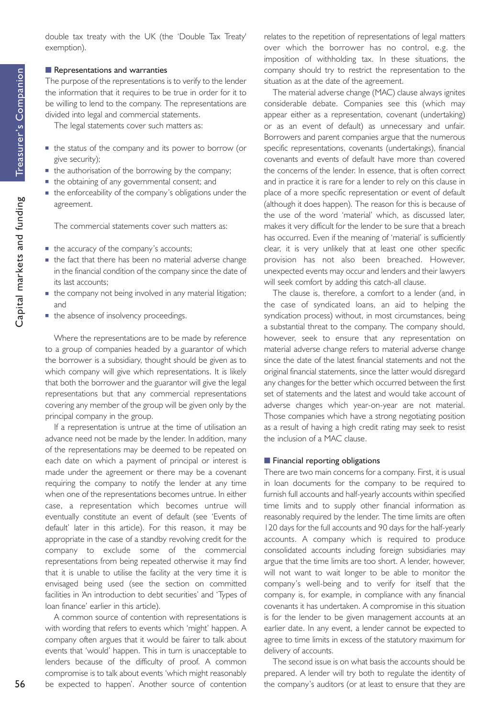Capital markets and funding

double tax treaty with the UK (the 'Double Tax Treaty' exemption).

### **Representations and warranties**

The purpose of the representations is to verify to the lender the information that it requires to be true in order for it to be willing to lend to the company. The representations are divided into legal and commercial statements.

The legal statements cover such matters as:

- the status of the company and its power to borrow (or give security);
- the authorisation of the borrowing by the company;
- the obtaining of any governmental consent; and
- the enforceability of the company's obligations under the agreement.

The commercial statements cover such matters as:

- the accuracy of the company's accounts;
- the fact that there has been no material adverse change in the financial condition of the company since the date of its last accounts;
- the company not being involved in any material litigation; and
- the absence of insolvency proceedings.

Where the representations are to be made by reference to a group of companies headed by a guarantor of which the borrower is a subsidiary, thought should be given as to which company will give which representations. It is likely that both the borrower and the guarantor will give the legal representations but that any commercial representations covering any member of the group will be given only by the principal company in the group.

If a representation is untrue at the time of utilisation an advance need not be made by the lender. In addition, many of the representations may be deemed to be repeated on each date on which a payment of principal or interest is made under the agreement or there may be a covenant requiring the company to notify the lender at any time when one of the representations becomes untrue. In either case, a representation which becomes untrue will eventually constitute an event of default (see 'Events of default' later in this article). For this reason, it may be appropriate in the case of a standby revolving credit for the company to exclude some of the commercial representations from being repeated otherwise it may find that it is unable to utilise the facility at the very time it is envisaged being used (see the section on committed facilities in 'An introduction to debt securities' and 'Types of loan finance' earlier in this article).

A common source of contention with representations is with wording that refers to events which 'might' happen. A company often argues that it would be fairer to talk about events that 'would' happen. This in turn is unacceptable to lenders because of the difficulty of proof. A common compromise is to talk about events 'which might reasonably be expected to happen'. Another source of contention relates to the repetition of representations of legal matters over which the borrower has no control, e.g. the imposition of withholding tax. In these situations, the company should try to restrict the representation to the situation as at the date of the agreement.

The material adverse change (MAC) clause always ignites considerable debate. Companies see this (which may appear either as a representation, covenant (undertaking) or as an event of default) as unnecessary and unfair. Borrowers and parent companies argue that the numerous specific representations, covenants (undertakings), financial covenants and events of default have more than covered the concerns of the lender. In essence, that is often correct and in practice it is rare for a lender to rely on this clause in place of a more specific representation or event of default (although it does happen). The reason for this is because of the use of the word 'material' which, as discussed later, makes it very difficult for the lender to be sure that a breach has occurred. Even if the meaning of 'material' is sufficiently clear, it is very unlikely that at least one other specific provision has not also been breached. However, unexpected events may occur and lenders and their lawyers will seek comfort by adding this catch-all clause.

The clause is, therefore, a comfort to a lender (and, in the case of syndicated loans, an aid to helping the syndication process) without, in most circumstances, being a substantial threat to the company. The company should, however, seek to ensure that any representation on material adverse change refers to material adverse change since the date of the latest financial statements and not the original financial statements, since the latter would disregard any changes for the better which occurred between the first set of statements and the latest and would take account of adverse changes which year-on-year are not material. Those companies which have a strong negotiating position as a result of having a high credit rating may seek to resist the inclusion of a MAC clause.

### **E** Financial reporting obligations

There are two main concerns for a company. First, it is usual in loan documents for the company to be required to furnish full accounts and half-yearly accounts within specified time limits and to supply other financial information as reasonably required by the lender. The time limits are often 120 days for the full accounts and 90 days for the half-yearly accounts. A company which is required to produce consolidated accounts including foreign subsidiaries may argue that the time limits are too short. A lender, however, will not want to wait longer to be able to monitor the company's well-being and to verify for itself that the company is, for example, in compliance with any financial covenants it has undertaken. A compromise in this situation is for the lender to be given management accounts at an earlier date. In any event, a lender cannot be expected to agree to time limits in excess of the statutory maximum for delivery of accounts.

The second issue is on what basis the accounts should be prepared. A lender will try both to regulate the identity of the company's auditors (or at least to ensure that they are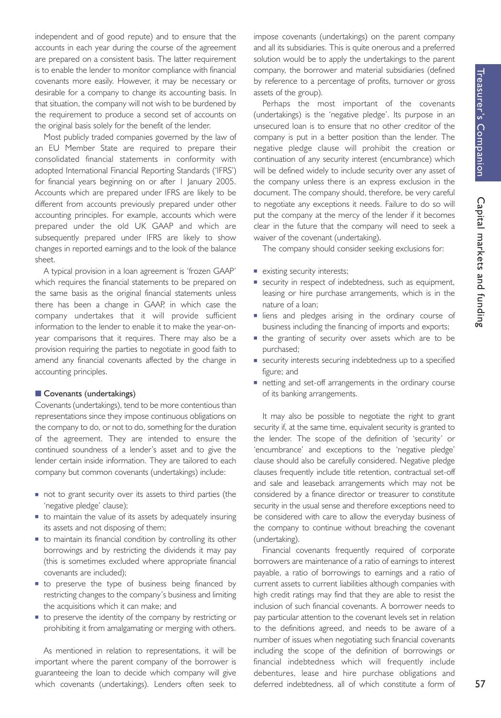independent and of good repute) and to ensure that the accounts in each year during the course of the agreement are prepared on a consistent basis. The latter requirement is to enable the lender to monitor compliance with financial covenants more easily. However, it may be necessary or desirable for a company to change its accounting basis. In that situation, the company will not wish to be burdened by the requirement to produce a second set of accounts on the original basis solely for the benefit of the lender.

Most publicly traded companies governed by the law of an EU Member State are required to prepare their consolidated financial statements in conformity with adopted International Financial Reporting Standards ('IFRS') for financial years beginning on or after 1 January 2005. Accounts which are prepared under IFRS are likely to be different from accounts previously prepared under other accounting principles. For example, accounts which were prepared under the old UK GAAP and which are subsequently prepared under IFRS are likely to show changes in reported earnings and to the look of the balance sheet.

A typical provision in a loan agreement is 'frozen GAAP' which requires the financial statements to be prepared on the same basis as the original financial statements unless there has been a change in GAAP, in which case the company undertakes that it will provide sufficient information to the lender to enable it to make the year-onyear comparisons that it requires. There may also be a provision requiring the parties to negotiate in good faith to amend any financial covenants affected by the change in accounting principles.

### **Covenants (undertakings)**

Covenants (undertakings), tend to be more contentious than representations since they impose continuous obligations on the company to do, or not to do, something for the duration of the agreement. They are intended to ensure the continued soundness of a lender's asset and to give the lender certain inside information. They are tailored to each company but common covenants (undertakings) include:

- not to grant security over its assets to third parties (the 'negative pledge' clause);
- to maintain the value of its assets by adequately insuring its assets and not disposing of them;
- to maintain its financial condition by controlling its other borrowings and by restricting the dividends it may pay (this is sometimes excluded where appropriate financial covenants are included);
- to preserve the type of business being financed by restricting changes to the company's business and limiting the acquisitions which it can make; and
- to preserve the identity of the company by restricting or prohibiting it from amalgamating or merging with others.

As mentioned in relation to representations, it will be important where the parent company of the borrower is guaranteeing the loan to decide which company will give which covenants (undertakings). Lenders often seek to

impose covenants (undertakings) on the parent company and all its subsidiaries. This is quite onerous and a preferred solution would be to apply the undertakings to the parent company, the borrower and material subsidiaries (defined by reference to a percentage of profits, turnover or gross assets of the group).

Perhaps the most important of the covenants (undertakings) is the 'negative pledge'. Its purpose in an unsecured loan is to ensure that no other creditor of the company is put in a better position than the lender. The negative pledge clause will prohibit the creation or continuation of any security interest (encumbrance) which will be defined widely to include security over any asset of the company unless there is an express exclusion in the document. The company should, therefore, be very careful to negotiate any exceptions it needs. Failure to do so will put the company at the mercy of the lender if it becomes clear in the future that the company will need to seek a waiver of the covenant (undertaking).

The company should consider seeking exclusions for:

- **Existing security interests;**
- **E** security in respect of indebtedness, such as equipment, leasing or hire purchase arrangements, which is in the nature of a loan;
- **E** liens and pledges arising in the ordinary course of business including the financing of imports and exports;
- **I** the granting of security over assets which are to be purchased;
- **E** security interests securing indebtedness up to a specified figure; and
- netting and set-off arrangements in the ordinary course of its banking arrangements.

It may also be possible to negotiate the right to grant security if, at the same time, equivalent security is granted to the lender. The scope of the definition of 'security' or 'encumbrance' and exceptions to the 'negative pledge' clause should also be carefully considered. Negative pledge clauses frequently include title retention, contractual set-off and sale and leaseback arrangements which may not be considered by a finance director or treasurer to constitute security in the usual sense and therefore exceptions need to be considered with care to allow the everyday business of the company to continue without breaching the covenant (undertaking).

Financial covenants frequently required of corporate borrowers are maintenance of a ratio of earnings to interest payable, a ratio of borrowings to earnings and a ratio of current assets to current liabilities although companies with high credit ratings may find that they are able to resist the inclusion of such financial covenants. A borrower needs to pay particular attention to the covenant levels set in relation to the definitions agreed, and needs to be aware of a number of issues when negotiating such financial covenants including the scope of the definition of borrowings or financial indebtedness which will frequently include debentures, lease and hire purchase obligations and deferred indebtedness, all of which constitute a form of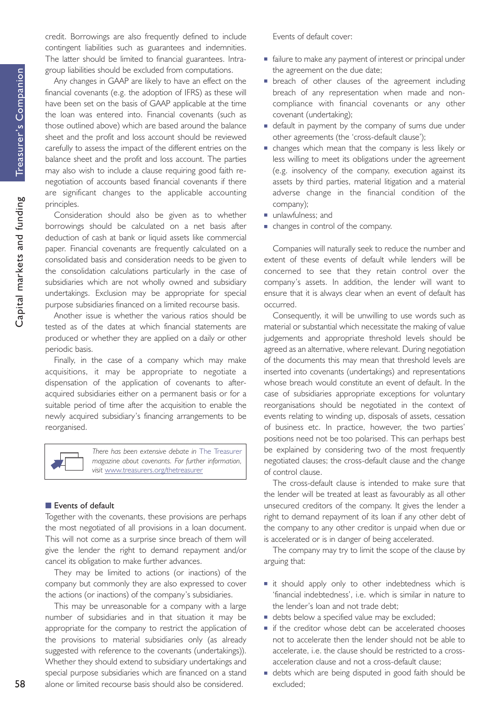Treasurer's Companion

credit. Borrowings are also frequently defined to include contingent liabilities such as guarantees and indemnities. The latter should be limited to financial guarantees. Intragroup liabilities should be excluded from computations.

Any changes in GAAP are likely to have an effect on the financial covenants (e.g. the adoption of IFRS) as these will have been set on the basis of GAAP applicable at the time the loan was entered into. Financial covenants (such as those outlined above) which are based around the balance sheet and the profit and loss account should be reviewed carefully to assess the impact of the different entries on the balance sheet and the profit and loss account. The parties may also wish to include a clause requiring good faith renegotiation of accounts based financial covenants if there are significant changes to the applicable accounting principles.

Consideration should also be given as to whether borrowings should be calculated on a net basis after deduction of cash at bank or liquid assets like commercial paper. Financial covenants are frequently calculated on a consolidated basis and consideration needs to be given to the consolidation calculations particularly in the case of subsidiaries which are not wholly owned and subsidiary undertakings. Exclusion may be appropriate for special purpose subsidiaries financed on a limited recourse basis.

Another issue is whether the various ratios should be tested as of the dates at which financial statements are produced or whether they are applied on a daily or other periodic basis.

Finally, in the case of a company which may make acquisitions, it may be appropriate to negotiate a dispensation of the application of covenants to afteracquired subsidiaries either on a permanent basis or for a suitable period of time after the acquisition to enable the newly acquired subsidiary's financing arrangements to be reorganised.

*There has been extensive debate in* The Treasurer *magazine about covenants. For further information, visit* www.treasurers.org/thetreasurer

### **Exents of default**

Together with the covenants, these provisions are perhaps the most negotiated of all provisions in a loan document. This will not come as a surprise since breach of them will give the lender the right to demand repayment and/or cancel its obligation to make further advances.

They may be limited to actions (or inactions) of the company but commonly they are also expressed to cover the actions (or inactions) of the company's subsidiaries.

This may be unreasonable for a company with a large number of subsidiaries and in that situation it may be appropriate for the company to restrict the application of the provisions to material subsidiaries only (as already suggested with reference to the covenants (undertakings)). Whether they should extend to subsidiary undertakings and special purpose subsidiaries which are financed on a stand alone or limited recourse basis should also be considered.

Events of default cover:

- failure to make any payment of interest or principal under the agreement on the due date;
- **•** breach of other clauses of the agreement including breach of any representation when made and noncompliance with financial covenants or any other covenant (undertaking);
- **E** default in payment by the company of sums due under other agreements (the 'cross-default clause');
- changes which mean that the company is less likely or less willing to meet its obligations under the agreement (e.g. insolvency of the company, execution against its assets by third parties, material litigation and a material adverse change in the financial condition of the company);
- unlawfulness; and
- changes in control of the company.

Companies will naturally seek to reduce the number and extent of these events of default while lenders will be concerned to see that they retain control over the company's assets. In addition, the lender will want to ensure that it is always clear when an event of default has occurred.

Consequently, it will be unwilling to use words such as material or substantial which necessitate the making of value judgements and appropriate threshold levels should be agreed as an alternative, where relevant. During negotiation of the documents this may mean that threshold levels are inserted into covenants (undertakings) and representations whose breach would constitute an event of default. In the case of subsidiaries appropriate exceptions for voluntary reorganisations should be negotiated in the context of events relating to winding up, disposals of assets, cessation of business etc. In practice, however, the two parties' positions need not be too polarised. This can perhaps best be explained by considering two of the most frequently negotiated clauses; the cross-default clause and the change of control clause.

The cross-default clause is intended to make sure that the lender will be treated at least as favourably as all other unsecured creditors of the company. It gives the lender a right to demand repayment of its loan if any other debt of the company to any other creditor is unpaid when due or is accelerated or is in danger of being accelerated.

The company may try to limit the scope of the clause by arguing that:

- it should apply only to other indebtedness which is 'financial indebtedness', i.e. which is similar in nature to the lender's loan and not trade debt;
- **•** debts below a specified value may be excluded;
- if the creditor whose debt can be accelerated chooses not to accelerate then the lender should not be able to accelerate, i.e. the clause should be restricted to a crossacceleration clause and not a cross-default clause;
- **•** debts which are being disputed in good faith should be excluded;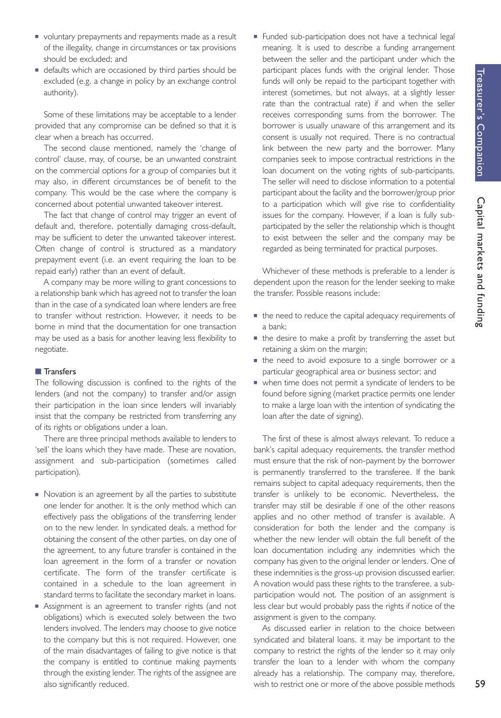- **•** voluntary prepayments and repayments made as a result of the illegality, change in circumstances or tax provisions should be excluded; and
- **•** defaults which are occasioned by third parties should be excluded (e.g. a change in policy by an exchange control authority).

Some of these limitations may be acceptable to a lender provided that any compromise can be defined so that it is clear when a breach has occurred.

The second clause mentioned, namely the 'change of control' clause, may, of course, be an unwanted constraint on the commercial options for a group of companies but it may also, in different circumstances be of benefit to the company. This would be the case where the company is concerned about potential unwanted takeover interest.

The fact that change of control may trigger an event of default and, therefore, potentially damaging cross-default, may be sufficient to deter the unwanted takeover interest. Often change of control is structured as a mandatory prepayment event (i.e. an event requiring the loan to be repaid early) rather than an event of default.

A company may be more willing to grant concessions to a relationship bank which has agreed not to transfer the loan than in the case of a syndicated loan where lenders are free to transfer without restriction. However, it needs to be borne in mind that the documentation for one transaction may be used as a basis for another leaving less flexibility to negotiate.

### **T** Transfers

The following discussion is confined to the rights of the lenders (and not the company) to transfer and/or assign their participation in the loan since lenders will invariably insist that the company be restricted from transferring any of its rights or obligations under a loan.

There are three principal methods available to lenders to 'sell' the loans which they have made. These are novation, assignment and sub-participation (sometimes called participation).

- Novation is an agreement by all the parties to substitute one lender for another. It is the only method which can effectively pass the obligations of the transferring lender on to the new lender. In syndicated deals, a method for obtaining the consent of the other parties, on day one of the agreement, to any future transfer is contained in the loan agreement in the form of a transfer or novation certificate. The form of the transfer certificate is contained in a schedule to the loan agreement in standard terms to facilitate the secondary market in loans.
- **E** Assignment is an agreement to transfer rights (and not obligations) which is executed solely between the two lenders involved. The lenders may choose to give notice to the company but this is not required. However, one of the main disadvantages of failing to give notice is that the company is entitled to continue making payments through the existing lender. The rights of the assignee are also significantly reduced.

**E** Funded sub-participation does not have a technical legal meaning. It is used to describe a funding arrangement between the seller and the participant under which the participant places funds with the original lender. Those funds will only be repaid to the participant together with interest (sometimes, but not always, at a slightly lesser rate than the contractual rate) if and when the seller receives corresponding sums from the borrower. The borrower is usually unaware of this arrangement and its consent is usually not required. There is no contractual link between the new party and the borrower. Many companies seek to impose contractual restrictions in the loan document on the voting rights of sub-participants. The seller will need to disclose information to a potential participant about the facility and the borrower/group prior to a participation which will give rise to confidentiality issues for the company. However, if a loan is fully subparticipated by the seller the relationship which is thought to exist between the seller and the company may be regarded as being terminated for practical purposes.

Whichever of these methods is preferable to a lender is dependent upon the reason for the lender seeking to make the transfer. Possible reasons include:

- the need to reduce the capital adequacy requirements of a bank;
- the desire to make a profit by transferring the asset but retaining a skim on the margin;
- the need to avoid exposure to a single borrower or a particular geographical area or business sector; and
- when time does not permit a syndicate of lenders to be found before signing (market practice permits one lender to make a large loan with the intention of syndicating the loan after the date of signing).

The first of these is almost always relevant. To reduce a bank's capital adequacy requirements, the transfer method must ensure that the risk of non-payment by the borrower is permanently transferred to the transferee. If the bank remains subject to capital adequacy requirements, then the transfer is unlikely to be economic. Nevertheless, the transfer may still be desirable if one of the other reasons applies and no other method of transfer is available. A consideration for both the lender and the company is whether the new lender will obtain the full benefit of the loan documentation including any indemnities which the company has given to the original lender or lenders. One of these indemnities is the gross-up provision discussed earlier. A novation would pass these rights to the transferee, a subparticipation would not. The position of an assignment is less clear but would probably pass the rights if notice of the assignment is given to the company.

As discussed earlier in relation to the choice between syndicated and bilateral loans, it may be important to the company to restrict the rights of the lender so it may only transfer the loan to a lender with whom the company already has a relationship. The company may, therefore, wish to restrict one or more of the above possible methods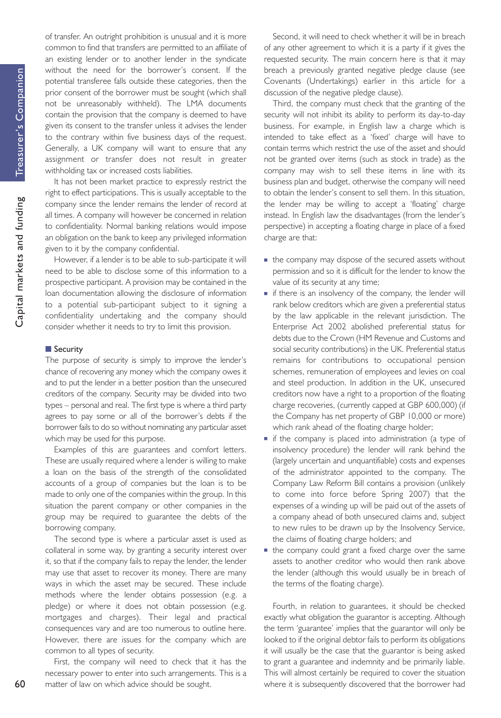of transfer. An outright prohibition is unusual and it is more common to find that transfers are permitted to an affiliate of an existing lender or to another lender in the syndicate without the need for the borrower's consent. If the potential transferee falls outside these categories, then the prior consent of the borrower must be sought (which shall not be unreasonably withheld). The LMA documents contain the provision that the company is deemed to have given its consent to the transfer unless it advises the lender to the contrary within five business days of the request. Generally, a UK company will want to ensure that any assignment or transfer does not result in greater withholding tax or increased costs liabilities.

It has not been market practice to expressly restrict the right to effect participations. This is usually acceptable to the company since the lender remains the lender of record at all times. A company will however be concerned in relation to confidentiality. Normal banking relations would impose an obligation on the bank to keep any privileged information given to it by the company confidential.

However, if a lender is to be able to sub-participate it will need to be able to disclose some of this information to a prospective participant. A provision may be contained in the loan documentation allowing the disclosure of information to a potential sub-participant subject to it signing a confidentiality undertaking and the company should consider whether it needs to try to limit this provision.

### **Security**

The purpose of security is simply to improve the lender's chance of recovering any money which the company owes it and to put the lender in a better position than the unsecured creditors of the company. Security may be divided into two types – personal and real. The first type is where a third party agrees to pay some or all of the borrower's debts if the borrower fails to do so without nominating any particular asset which may be used for this purpose.

Examples of this are guarantees and comfort letters. These are usually required where a lender is willing to make a loan on the basis of the strength of the consolidated accounts of a group of companies but the loan is to be made to only one of the companies within the group. In this situation the parent company or other companies in the group may be required to guarantee the debts of the borrowing company.

The second type is where a particular asset is used as collateral in some way, by granting a security interest over it, so that if the company fails to repay the lender, the lender may use that asset to recover its money. There are many ways in which the asset may be secured. These include methods where the lender obtains possession (e.g. a pledge) or where it does not obtain possession (e.g. mortgages and charges). Their legal and practical consequences vary and are too numerous to outline here. However, there are issues for the company which are common to all types of security.

First, the company will need to check that it has the necessary power to enter into such arrangements. This is a matter of law on which advice should be sought.

Second, it will need to check whether it will be in breach of any other agreement to which it is a party if it gives the requested security. The main concern here is that it may breach a previously granted negative pledge clause (see Covenants (Undertakings) earlier in this article for a discussion of the negative pledge clause).

Third, the company must check that the granting of the security will not inhibit its ability to perform its day-to-day business. For example, in English law a charge which is intended to take effect as a 'fixed' charge will have to contain terms which restrict the use of the asset and should not be granted over items (such as stock in trade) as the company may wish to sell these items in line with its business plan and budget, otherwise the company will need to obtain the lender's consent to sell them. In this situation, the lender may be willing to accept a 'floating' charge instead. In English law the disadvantages (from the lender's perspective) in accepting a floating charge in place of a fixed charge are that:

- the company may dispose of the secured assets without permission and so it is difficult for the lender to know the value of its security at any time;
- **If there is an insolvency of the company, the lender will** rank below creditors which are given a preferential status by the law applicable in the relevant jurisdiction. The Enterprise Act 2002 abolished preferential status for debts due to the Crown (HM Revenue and Customs and social security contributions) in the UK. Preferential status remains for contributions to occupational pension schemes, remuneration of employees and levies on coal and steel production. In addition in the UK, unsecured creditors now have a right to a proportion of the floating charge recoveries, (currently capped at GBP 600,000) (if the Company has net property of GBP 10,000 or more) which rank ahead of the floating charge holder;
- **If the company is placed into administration (a type of** insolvency procedure) the lender will rank behind the (largely uncertain and unquantifiable) costs and expenses of the administrator appointed to the company. The Company Law Reform Bill contains a provision (unlikely to come into force before Spring 2007) that the expenses of a winding up will be paid out of the assets of a company ahead of both unsecured claims and, subject to new rules to be drawn up by the Insolvency Service, the claims of floating charge holders; and
- the company could grant a fixed charge over the same assets to another creditor who would then rank above the lender (although this would usually be in breach of the terms of the floating charge).

Fourth, in relation to guarantees, it should be checked exactly what obligation the guarantor is accepting. Although the term 'guarantee' implies that the guarantor will only be looked to if the original debtor fails to perform its obligations it will usually be the case that the guarantor is being asked to grant a guarantee and indemnity and be primarily liable. This will almost certainly be required to cover the situation where it is subsequently discovered that the borrower had